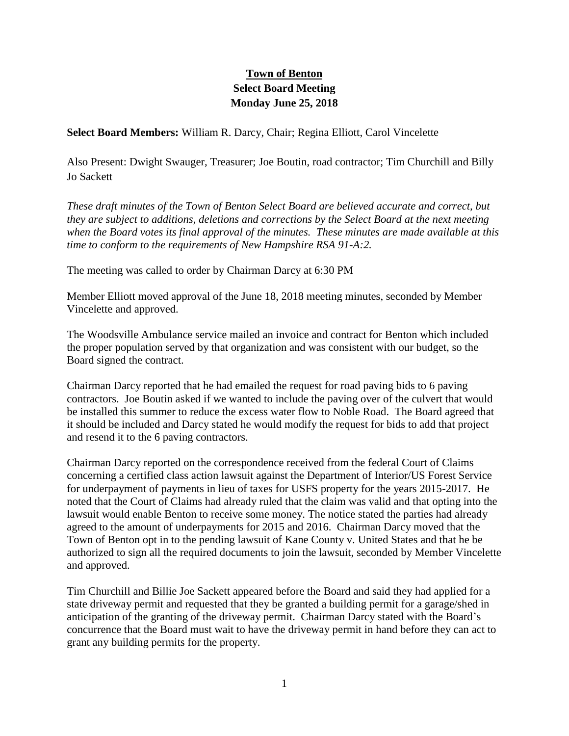## **Town of Benton Select Board Meeting Monday June 25, 2018**

**Select Board Members:** William R. Darcy, Chair; Regina Elliott, Carol Vincelette

Also Present: Dwight Swauger, Treasurer; Joe Boutin, road contractor; Tim Churchill and Billy Jo Sackett

*These draft minutes of the Town of Benton Select Board are believed accurate and correct, but they are subject to additions, deletions and corrections by the Select Board at the next meeting when the Board votes its final approval of the minutes. These minutes are made available at this time to conform to the requirements of New Hampshire RSA 91-A:2.*

The meeting was called to order by Chairman Darcy at 6:30 PM

Member Elliott moved approval of the June 18, 2018 meeting minutes, seconded by Member Vincelette and approved.

The Woodsville Ambulance service mailed an invoice and contract for Benton which included the proper population served by that organization and was consistent with our budget, so the Board signed the contract.

Chairman Darcy reported that he had emailed the request for road paving bids to 6 paving contractors. Joe Boutin asked if we wanted to include the paving over of the culvert that would be installed this summer to reduce the excess water flow to Noble Road. The Board agreed that it should be included and Darcy stated he would modify the request for bids to add that project and resend it to the 6 paving contractors.

Chairman Darcy reported on the correspondence received from the federal Court of Claims concerning a certified class action lawsuit against the Department of Interior/US Forest Service for underpayment of payments in lieu of taxes for USFS property for the years 2015-2017. He noted that the Court of Claims had already ruled that the claim was valid and that opting into the lawsuit would enable Benton to receive some money. The notice stated the parties had already agreed to the amount of underpayments for 2015 and 2016. Chairman Darcy moved that the Town of Benton opt in to the pending lawsuit of Kane County v. United States and that he be authorized to sign all the required documents to join the lawsuit, seconded by Member Vincelette and approved.

Tim Churchill and Billie Joe Sackett appeared before the Board and said they had applied for a state driveway permit and requested that they be granted a building permit for a garage/shed in anticipation of the granting of the driveway permit. Chairman Darcy stated with the Board's concurrence that the Board must wait to have the driveway permit in hand before they can act to grant any building permits for the property.